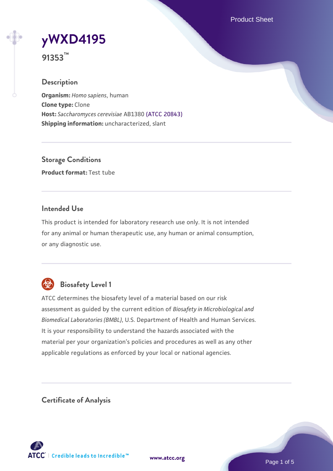Product Sheet

# **[yWXD4195](https://www.atcc.org/products/91353)**

**91353™**

# **Description**

**Organism:** *Homo sapiens*, human **Clone type:** Clone **Host:** *Saccharomyces cerevisiae* AB1380 [\(ATCC 20843\)](https://www.atcc.org/products/20843) **Shipping information:** uncharacterized, slant

**Storage Conditions Product format:** Test tube

# **Intended Use**

This product is intended for laboratory research use only. It is not intended for any animal or human therapeutic use, any human or animal consumption, or any diagnostic use.



# **Biosafety Level 1**

ATCC determines the biosafety level of a material based on our risk assessment as guided by the current edition of *Biosafety in Microbiological and Biomedical Laboratories (BMBL)*, U.S. Department of Health and Human Services. It is your responsibility to understand the hazards associated with the material per your organization's policies and procedures as well as any other applicable regulations as enforced by your local or national agencies.

**Certificate of Analysis**

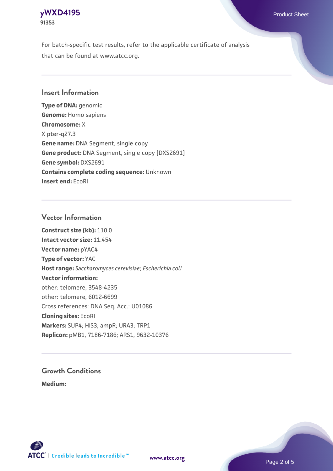# **[yWXD4195](https://www.atcc.org/products/91353)** Product Sheet **91353**

For batch-specific test results, refer to the applicable certificate of analysis that can be found at www.atcc.org.

# **Insert Information**

**Type of DNA:** genomic **Genome:** Homo sapiens **Chromosome:** X X pter-q27.3 **Gene name:** DNA Segment, single copy **Gene product:** DNA Segment, single copy [DXS2691] **Gene symbol:** DXS2691 **Contains complete coding sequence:** Unknown **Insert end:** EcoRI

# **Vector Information**

**Construct size (kb):** 110.0 **Intact vector size:** 11.454 **Vector name:** pYAC4 **Type of vector:** YAC **Host range:** *Saccharomyces cerevisiae*; *Escherichia coli* **Vector information:** other: telomere, 3548-4235 other: telomere, 6012-6699 Cross references: DNA Seq. Acc.: U01086 **Cloning sites:** EcoRI **Markers:** SUP4; HIS3; ampR; URA3; TRP1 **Replicon:** pMB1, 7186-7186; ARS1, 9632-10376

# **Growth Conditions**

**Medium:** 



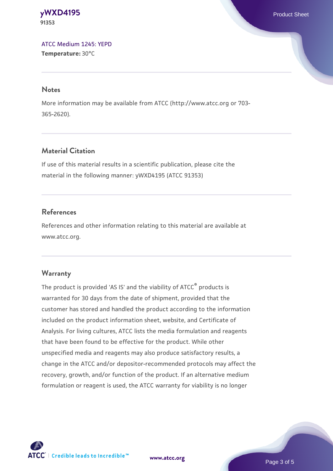#### **[yWXD4195](https://www.atcc.org/products/91353)** Product Sheet **91353**

[ATCC Medium 1245: YEPD](https://www.atcc.org/-/media/product-assets/documents/microbial-media-formulations/1/2/4/5/atcc-medium-1245.pdf?rev=705ca55d1b6f490a808a965d5c072196) **Temperature:** 30°C

#### **Notes**

More information may be available from ATCC (http://www.atcc.org or 703- 365-2620).

# **Material Citation**

If use of this material results in a scientific publication, please cite the material in the following manner: yWXD4195 (ATCC 91353)

# **References**

References and other information relating to this material are available at www.atcc.org.

# **Warranty**

The product is provided 'AS IS' and the viability of ATCC® products is warranted for 30 days from the date of shipment, provided that the customer has stored and handled the product according to the information included on the product information sheet, website, and Certificate of Analysis. For living cultures, ATCC lists the media formulation and reagents that have been found to be effective for the product. While other unspecified media and reagents may also produce satisfactory results, a change in the ATCC and/or depositor-recommended protocols may affect the recovery, growth, and/or function of the product. If an alternative medium formulation or reagent is used, the ATCC warranty for viability is no longer



**[www.atcc.org](http://www.atcc.org)**

Page 3 of 5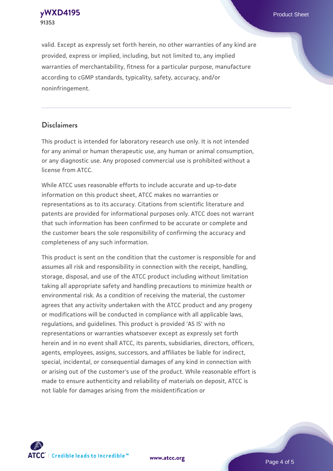**[yWXD4195](https://www.atcc.org/products/91353)** Product Sheet **91353**

valid. Except as expressly set forth herein, no other warranties of any kind are provided, express or implied, including, but not limited to, any implied warranties of merchantability, fitness for a particular purpose, manufacture according to cGMP standards, typicality, safety, accuracy, and/or noninfringement.

#### **Disclaimers**

This product is intended for laboratory research use only. It is not intended for any animal or human therapeutic use, any human or animal consumption, or any diagnostic use. Any proposed commercial use is prohibited without a license from ATCC.

While ATCC uses reasonable efforts to include accurate and up-to-date information on this product sheet, ATCC makes no warranties or representations as to its accuracy. Citations from scientific literature and patents are provided for informational purposes only. ATCC does not warrant that such information has been confirmed to be accurate or complete and the customer bears the sole responsibility of confirming the accuracy and completeness of any such information.

This product is sent on the condition that the customer is responsible for and assumes all risk and responsibility in connection with the receipt, handling, storage, disposal, and use of the ATCC product including without limitation taking all appropriate safety and handling precautions to minimize health or environmental risk. As a condition of receiving the material, the customer agrees that any activity undertaken with the ATCC product and any progeny or modifications will be conducted in compliance with all applicable laws, regulations, and guidelines. This product is provided 'AS IS' with no representations or warranties whatsoever except as expressly set forth herein and in no event shall ATCC, its parents, subsidiaries, directors, officers, agents, employees, assigns, successors, and affiliates be liable for indirect, special, incidental, or consequential damages of any kind in connection with or arising out of the customer's use of the product. While reasonable effort is made to ensure authenticity and reliability of materials on deposit, ATCC is not liable for damages arising from the misidentification or



**[www.atcc.org](http://www.atcc.org)**

Page 4 of 5